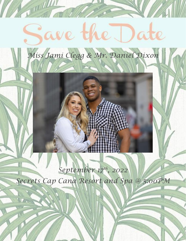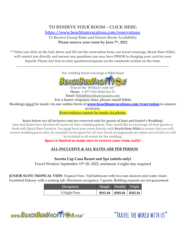# **TO RESERVE YOUR ROOM – CLICK HERE:** <https://www.beachbumvacations.com/reservations>

To Receive Group Rates and Ensure Room Availability **Please reserve your room by June 7th, 2022**

**\*\*\*After you click on the link above and fill out the reservation form, our travel concierge, Beach Bum Nikki, will contact you directly and answer any questions you may have PRIOR to charging your card for your deposit. Please feel free to enter questions/requests on the comments section on the form.**

Our wedding travel concierge is Nikki Bond

\_\_\_\_\_\_\_\_\_\_\_\_\_\_\_\_\_\_\_\_\_\_\_\_\_\_\_\_\_\_\_\_\_\_\_\_\_\_\_\_\_\_\_\_\_\_\_\_\_\_\_\_\_\_\_\_\_\_\_\_\_\_\_\_\_\_\_\_\_\_\_\_\_\_\_\_\_\_\_\_\_\_\_\_\_\_\_\_\_\_\_\_\_\_\_\_\_\_\_\_\_\_\_\_\_\_\_\_\_\_\_\_\_\_\_\_\_\_\_\_\_\_\_



Travel the WORLD with US Phone: 1-877-943-8282 Ext 31 Email: Nikki@beachbumvacation.com **For a faster response time, please email Nikki. Bookings must be made via our online form at [www.beachbumvacations.com/reservation](http://www.beachbumvacations.com/reservation) to ensure accuracy. Reservations cannot be made via phone.**

**Rates below are all inclusive and are reserved only for guests of Jami and Daniel's Wedding!** Jami and Daniel have blocked off rooms for their wedding guests. They would like to encourage all their guests to book with Beach Bum Vacation. You must book your room directly with **Beach Bum Nikki** to ensure that you will receive wedding guest rates, be included on the guest list, all your travel arrangements are taken care of and you will be included in all events for the wedding.

### **Space is limited so make sure to reserve your room early!**

### **ALL-INCLUSIVE & ALL RATES ARE PER PERSON**

**Secrets Cap Cana Resort and Spa (adults only)**

Travel Window September 15th -20, 2022, minimum 3-night stay required

**JUNIOR SUITE TROPICAL VIEW:** Tropical View. Full bathroom with two rain showers and water closet. Furnished balcony with a soaking tub. Maximum occupancy: 3 guests. Bedding requests are not guaranteed.

| Occupancy     | Single Double Triple            |  |
|---------------|---------------------------------|--|
| 3-Night Price | $$915.48$   \$585.04   \$582.44 |  |

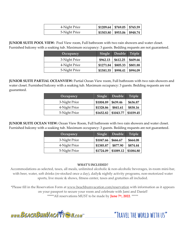| 4-Night Price | $$1209.64 \mid $769.05 \mid $765.59$   |  |
|---------------|----------------------------------------|--|
| 5-Night Price | $\mid$ \$1503.80   \$953.06   \$948.74 |  |

**JUNIOR SUITE POOL VIEW:** Pool View room, Full bathroom with two rain showers and water closet. Furnished balcony with a soaking tub. Maximum occupancy: 3 guests. Bedding requests are not guaranteed.

| Occupancy     | Single    | Double Triple |          |
|---------------|-----------|---------------|----------|
| 3-Night Price | \$962.13  | \$612.25      | \$609.66 |
| 4-Night Price | \$1271.84 | \$805.33      | \$801.88 |
| 5-Night Price | \$1581.55 | \$998.41      | \$994.09 |

**JUNIOR SUITE PARTIAL OCEANVIEW:** Partial Ocean View room, Full bathroom with two rain showers and water closet. Furnished balcony with a soaking tub. Maximum occupancy: 3 guests. Bedding requests are not guaranteed.

| Occupancy     | Single    | Double    | <b>Triple</b> |
|---------------|-----------|-----------|---------------|
| 3-Night Price | \$1004.89 | \$639.46  | \$636.87      |
| 4-Night Price | \$1328.86 | \$841.61  | \$838.16      |
| 5-Night Price | \$1652.82 | \$1043.77 | \$1039.45     |

**JUNIOR SUITE OCEAN VIEW:** Ocean View Room, Full bathroom with two rain showers and water closet. Furnished balcony with a soaking tub. Maximum occupancy: 3 guests. Bedding requests are not guaranteed.

| Occupancy     | Single    | Double    | Triple    |
|---------------|-----------|-----------|-----------|
| 3-Night Price | \$1047.66 | \$666.67  | \$664.08  |
| 4-Night Price | \$1385.87 | \$877.90  | \$874.44  |
| 5-Night Price | \$1724.09 | \$1089.12 | \$1084.80 |

#### **WHAT'S INCLUDED?**

Accommodations as selected, taxes, all meals, unlimited alcoholic & non-alcoholic beverages, in-room mini-bar, with beer, water, soft drinks (re-stocked once a day), daily& nightly activity programs, non-motorized water sports, live music & shows, fitness center, taxes and gratuities all included.

\*Please fill in the Reservation Form at [www.beachbumvacation.com/reservation](http://www.beachbumvacation.com/reservation) with information as it appears on your passport to secure your room and celebrate with Jami and Daniel! \*\*\*\*\*All reservations MUST to be made by **June 7th, 2022**. \*\*\*\*\*

www.BEACHBUMVACATTEN.com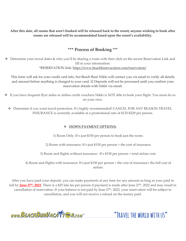**After this date, all rooms that aren't booked will be released back to the resort; anyone wishing to book after rooms are released will be accommodated based upon the resort's availability.** 

## **\*\*\* Process of Booking** \*\*\*

❖ Determine your travel dates & who you'll be sharing a room with then click on the secure Reservation Link and fill in your information: \*RESERVATION link:<https://www.beachbumvacation.com/reservation/>

This form will ask for your credit card info, but Beach Bum Nikki will contact you via email to verify all details and amount before anything is charged to your card. ☺ Deposits will not be processed until you confirm your reservation details with Nikki via email.

- ❖ If you have frequent flyer miles or airline credit vouchers Nikki is NOT able to book your flight. You must do so on your own.
	- ❖ Determine if you want travel protection. It's highly recommended! CANCEL FOR ANY REASON TRAVEL INSURANCE is currently available at a promotional rate of \$125-\$229 per person.

### ❖ **DOWN PAYMENT OPTIONS:**

1) Room Only: It's just \$150 per person to book just the room.

2) Room with insurance: It's just \$150 per person + the cost of insurance

3) Room and flights without insurance: It's \$150 per person + total airfare cost.

4) Room and flights with insurance: It's just \$150 per person + the cost of insurance+ the full cost of airfare.

After you have paid your deposit, you can make payments at any time for any amount as long as your paid in full by **June 27<sup>th</sup>, 2022**. There is a \$25 late fee per person if payment is made after June 27<sup>th</sup>, 2022 and may result in cancellation of reservation. If your balance is not paid by June 27th, 2022, your reservation will be subject to cancellation, and you will not receive a refund on the money paid.

www.BEACHBUMVACATTE M.com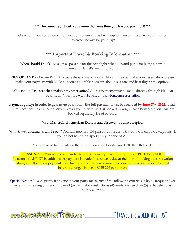#### **\*\*\*The sooner you book your room the more time you have to pay it off! \*\*\***

Once you place your reservation and your payment has been applied you will receive a confirmation invoice/itinerary for your trip!

### **\*\*\* Important Travel & Booking Information \*\*\***

When should I book? As soon as possible for the best flight schedules and perks for being a part of Jami and Daniel's wedding group!

\*IMPORTANT! -- Airfare WILL fluctuate depending on availability at time you make your reservation, please make your payment with Nikki as soon as possible to ensure the lowest rate and best flight time options.

Who should I ask for when making my reservation? All reservations must be made directly through Nikki at Beach Bum Vacation. [www.beachbumvacation.com/reservation](http://www.beachbumvacation.com/reservation)

**Payment policy: In order to guarantee your room, the full payment must be received by June 27th , 2022.** Beach Bum Vacation's insurance policy will cover your airfare 100% if booked through Beach Bum Vacation. Airfare booked separately is not covered.

#### Visa, MasterCard, American Express and Discover are also accepted.

What travel documents will I need? You will need a valid passport in order to travel to Cancun, no exceptions. If you do not have a passport apply for one ASAP!

You will need to indicate on the form if you accept or decline TRIP INSURANCE.

PLEASE NOTE: You will need to indicate on the form if you accept or decline TRIP INSURANCE. Insurance CANNOT be added after payment is made. Insurance is due at the time of making the reservation along with the down payment. Trip Insurance is highly recommended due to the recent crisis. Optional insurance ranges between \$125-229 per person.

Special Needs: Please specify if anyone in your party meets any of the following criteria: (1) holds frequent flyer miles (2) is hearing or vision impaired (3) has dietary restrictions (4) needs a wheelchair (5) is diabetic (6) is highly allergic.

www.BEACHBUMVACATTEN.com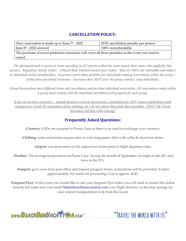## **CANCELLATION POLICY:**

| Once reservation is made up to June 7 <sup>th</sup> , 2022                                                     | \$150 cancellation penalty per person |  |
|----------------------------------------------------------------------------------------------------------------|---------------------------------------|--|
| June $8th$ , 2022-onward                                                                                       | 100% nonrefundable                    |  |
| The purchase of travel protection insurance will cover all these penalties in the event you need to<br>cancel. |                                       |  |

*The aforementioned is person or room canceling (so if 1 person within the room cancels these same rules apply for that person). Regarding Airline tickets – if Beach Bum Vacation booked your tickets - they are 100% not refundable and subject to individual airline penalties/fees. Insurance covers these penalties for individuals making reservations within the group – if they have purchased insurance. Insurance does NOT cover the group contract, only individuals.* 

*Group Reservations have different terms and cancellation policies than individual reservation. All reservations made within a group must comply with the stipulated cancelation policy agreed for each group.*

*If you do not have insurance – natural disasters (such as hurricanes), cancelations for ANY reason (medical/personal emergencies, Covid-19, cancelation of the wedding, etc.) do not relieve them from these penalties. ONLY the Travel Insurance will help with coverage.*

# **Frequently Asked Questions:**

-Currency: USDs are accepted in Punta Cana so there is no need to exchange your currency.

-Clothing: some restaurants require men to wear long pants, shirt with collar & closed toe shoes.

-Airport: you must arrive at the airport two hours prior to flight departure time.

- Weather: The average temperatures in Punta Cana during the month of September are highs in the 80's and lows in the 70's.

-Passport: go to your local post office and request passport forms, instructions will be provided. It takes approximately 4-6 weeks for processing. Cost is approx. \$140.

-Frequent Flyer: in the event you would like to use your frequent flyer miles you will need to contact the airline directly but make sure you email Nikki@beachbumvacation.com your flight itinerary so she may arrange for your airport transportation to & from the resort.

www.BEACHBUMVACATTEN.com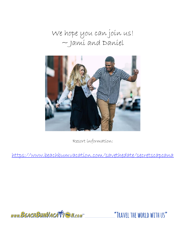We hope you can join us!  $\sim$  Jami and Daniel



Resort information:

<https://www.beachbumvacation.com/savethedate/secretscapcana>